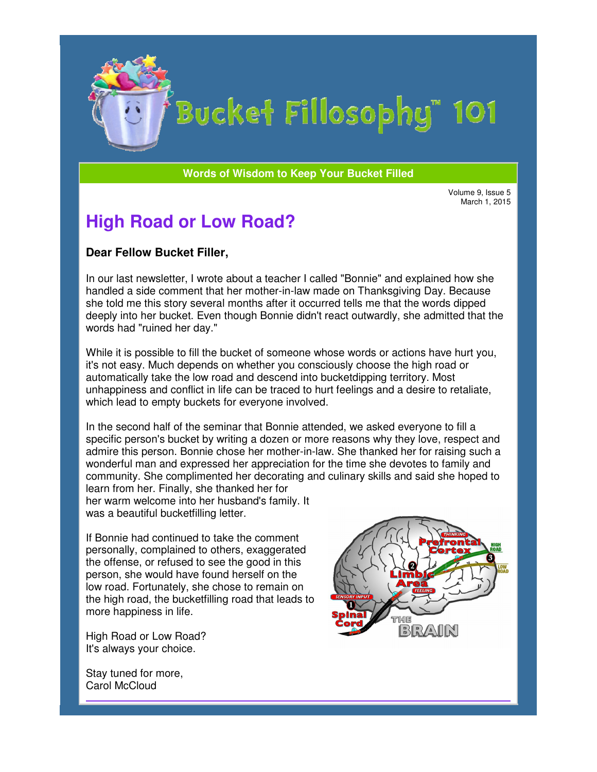

# Bucket Fillosophy" 101

#### **Words of Wisdom to Keep Your Bucket Filled Wisdom**

Volume 9, Issue 5 March 1, 2015

## **High Road or Low Road?**

#### **Dear Fellow Bucket Filler Filler,**

In our last newsletter, I wrote about a teacher I called "Bonnie" and explained how she In our last newsletter, I wrote about a teacher I called "Bonnie" and explained how she<br>handled a side comment that her mother-in-law made on Thanksgiving Day. Because she told me this story several months after it occurred tells me that the words dipped deeply into her bucket. Even though Bonnie didn't react outwardly, she admitted that the words had "ruined her day."

While it is possible to fill the bucket of someone whose words or actions have hurt you, it's not easy. Much depends on whether you consciously choose the high road or automatically take the low road and descend into bucketdipping territory. Most unhappiness and conflict in life can be traced to hurt feelings and a desire to retaliate, which lead to empty buckets for everyone involved.

In the second half of the seminar that Bonnie attended, we asked everyone to fill a which lead to empty buckets for everyone involved.<br>In the second half of the seminar that Bonnie attended, we asked everyone to fill a<br>specific person's bucket by writing a dozen or more reasons why they love, respect and admire this person. Bonnie chose her mother-in-law. She thanked her for raising such a wonderful man and expressed her appreciation for the time she devotes to family and wonderful man and expressed her appreciation for the time she devotes to family and<br>community. She complimented her decorating and culinary skills and said she hoped to learn from her. Finally, she thanked her for hurt feelings and a desire to retaliate,<br>ed.<br>ended, we asked everyone to fill a<br>ore reasons why they love, respect and<br>law. She thanked her for raising such a<br>or the time she devotes to family and<br>nd culinary skills and sa

her warm welcome into her husband's family. It was a beautiful bucketfilling letter.

If Bonnie had continued to take the comment personally, complained to others, exaggerated the offense, or refused to see the good in this person, she would have found herself on the low road. Fortunately, she chose to remain on the high road, the bucketfilling road that leads to more happiness in life. or refused to see the good in this<br>would have found herself on the<br>rtunately, she chose to remain on

High Road or Low Road? It's always your choice.

THE BRAIR

Stay tuned for more, Carol McCloud